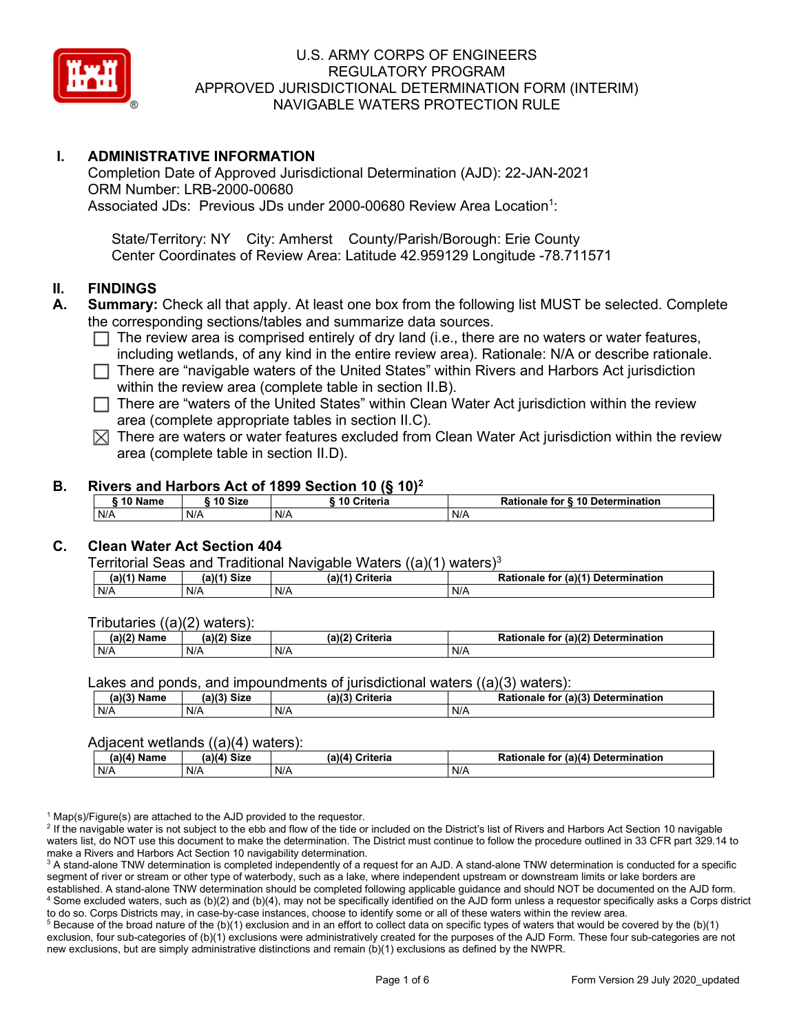

## **I. ADMINISTRATIVE INFORMATION**

Completion Date of Approved Jurisdictional Determination (AJD): 22-JAN-2021 ORM Number: LRB-2000-00680 Associated JDs: Previous JDs under 2000-00680 Review Area Location<sup>1</sup>:

State/Territory: NY City: Amherst County/Parish/Borough: Erie County Center Coordinates of Review Area: Latitude 42.959129 Longitude -78.711571

### **II. FINDINGS**

- **A. Summary:** Check all that apply. At least one box from the following list MUST be selected. Complete the corresponding sections/tables and summarize data sources.
	- $\Box$  The review area is comprised entirely of dry land (i.e., there are no waters or water features, including wetlands, of any kind in the entire review area). Rationale: N/A or describe rationale.
	- $\Box$  There are "navigable waters of the United States" within Rivers and Harbors Act jurisdiction within the review area (complete table in section II.B).
	- $\Box$  There are "waters of the United States" within Clean Water Act jurisdiction within the review area (complete appropriate tables in section II.C).
	- $\boxtimes$  There are waters or water features excluded from Clean Water Act jurisdiction within the review area (complete table in section II.D).

#### **B. Rivers and Harbors Act of 1899 Section 10 (§ 10)2**

| <sup>→</sup> 10 Name | ົ <sup>1</sup> 0 Size | ---<br>10 Criteria | Rationale for § 10 Determination |
|----------------------|-----------------------|--------------------|----------------------------------|
| N/A                  | N/A                   | N/A                | N/A                              |

### **C. Clean Water Act Section 404**

Territorial Seas and Traditional Navigable Waters  $((a)(1)$  waters)<sup>3</sup>

| $(a)(1)$ .<br>Name | $(a)$ $(4)$<br>Size | (a)<br>Criteria | (a)(1) Determination<br>Rationale<br>for |
|--------------------|---------------------|-----------------|------------------------------------------|
| N/A                | N/A                 | N/A             | N/A                                      |

Tributaries ((a)(2) waters):

| н   | $\sim$<br>$\sim$ Cime<br>JILE | 21/2<br><br>пе | (2)<br><b>Determination</b><br>TOI<br>naie |
|-----|-------------------------------|----------------|--------------------------------------------|
| N/A | N/A                           | N/A            | N/A                                        |

Lakes and ponds, and impoundments of jurisdictional waters ((a)(3) waters):

| (a)(3) Name | $(a)(3)$ Size | (a)(2)<br>Criteria | Rationale<br>(2)<br><b>Determination</b><br>for |
|-------------|---------------|--------------------|-------------------------------------------------|
| N/A         | N/A           | N/A                | N/A                                             |

### Adjacent wetlands  $((a)(4)$  waters):

|               | .           | .               |                                    |
|---------------|-------------|-----------------|------------------------------------|
| $(a)(4)$ Name | (a)(4) Size | (a)(4) Criteria | Rationale for (a)(4) Determination |
| N/A           | N/A         | N/A             | N/A                                |

 $1$  Map(s)/Figure(s) are attached to the AJD provided to the requestor.

<sup>2</sup> If the navigable water is not subject to the ebb and flow of the tide or included on the District's list of Rivers and Harbors Act Section 10 navigable waters list, do NOT use this document to make the determination. The District must continue to follow the procedure outlined in 33 CFR part 329.14 to make a Rivers and Harbors Act Section 10 navigability determination.

<sup>3</sup> A stand-alone TNW determination is completed independently of a request for an AJD. A stand-alone TNW determination is conducted for a specific segment of river or stream or other type of waterbody, such as a lake, where independent upstream or downstream limits or lake borders are established. A stand-alone TNW determination should be completed following applicable guidance and should NOT be documented on the AJD form. <sup>4</sup> Some excluded waters, such as (b)(2) and (b)(4), may not be specifically identified on the AJD form unless a requestor specifically asks a Corps district to do so. Corps Districts may, in case-by-case instances, choose to identify some or all of these waters within the review area.

 $5$  Because of the broad nature of the (b)(1) exclusion and in an effort to collect data on specific types of waters that would be covered by the (b)(1) exclusion, four sub-categories of (b)(1) exclusions were administratively created for the purposes of the AJD Form. These four sub-categories are not new exclusions, but are simply administrative distinctions and remain (b)(1) exclusions as defined by the NWPR.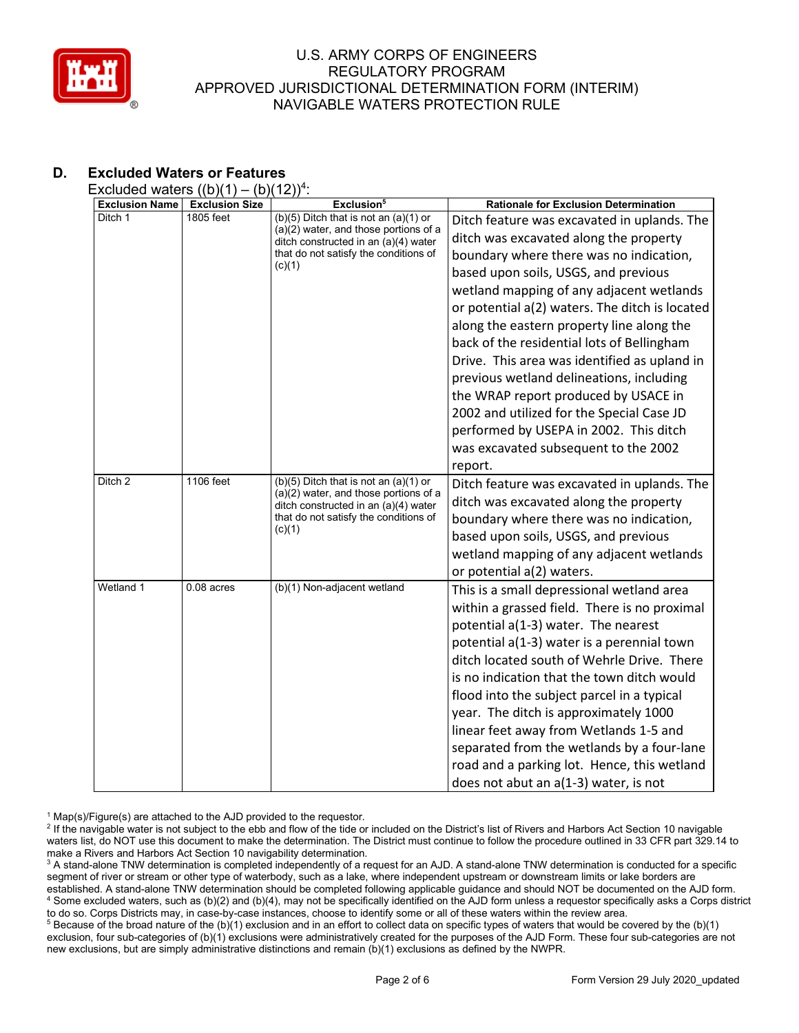

# **D. Excluded Waters or Features**

Excluded waters  $((b)(1) - (b)(12))^4$ :

| <b>Exclusion Name</b> | - \\ - \\ - \<br><b>Exclusion Size</b> | Exclusion <sup>5</sup>                                                                                                                                                          | <b>Rationale for Exclusion Determination</b>                                                                                                                                                                                                                                                                                                                                                                                                                                                                                                                                                                                                    |
|-----------------------|----------------------------------------|---------------------------------------------------------------------------------------------------------------------------------------------------------------------------------|-------------------------------------------------------------------------------------------------------------------------------------------------------------------------------------------------------------------------------------------------------------------------------------------------------------------------------------------------------------------------------------------------------------------------------------------------------------------------------------------------------------------------------------------------------------------------------------------------------------------------------------------------|
| Ditch 1               | 1805 feet                              | $(b)(5)$ Ditch that is not an $(a)(1)$ or<br>$(a)(2)$ water, and those portions of a<br>ditch constructed in an (a)(4) water<br>that do not satisfy the conditions of<br>(c)(1) | Ditch feature was excavated in uplands. The<br>ditch was excavated along the property<br>boundary where there was no indication,<br>based upon soils, USGS, and previous<br>wetland mapping of any adjacent wetlands<br>or potential a(2) waters. The ditch is located<br>along the eastern property line along the<br>back of the residential lots of Bellingham<br>Drive. This area was identified as upland in<br>previous wetland delineations, including<br>the WRAP report produced by USACE in<br>2002 and utilized for the Special Case JD<br>performed by USEPA in 2002. This ditch<br>was excavated subsequent to the 2002<br>report. |
| Ditch 2               | 1106 feet                              | $(b)(5)$ Ditch that is not an $(a)(1)$ or<br>(a)(2) water, and those portions of a<br>ditch constructed in an (a)(4) water<br>that do not satisfy the conditions of<br>(c)(1)   | Ditch feature was excavated in uplands. The<br>ditch was excavated along the property<br>boundary where there was no indication,<br>based upon soils, USGS, and previous<br>wetland mapping of any adjacent wetlands<br>or potential a(2) waters.                                                                                                                                                                                                                                                                                                                                                                                               |
| Wetland 1             | $0.08$ acres                           | (b)(1) Non-adjacent wetland                                                                                                                                                     | This is a small depressional wetland area<br>within a grassed field. There is no proximal<br>potential a(1-3) water. The nearest<br>potential a(1-3) water is a perennial town<br>ditch located south of Wehrle Drive. There<br>is no indication that the town ditch would<br>flood into the subject parcel in a typical<br>year. The ditch is approximately 1000<br>linear feet away from Wetlands 1-5 and<br>separated from the wetlands by a four-lane<br>road and a parking lot. Hence, this wetland<br>does not abut an a(1-3) water, is not                                                                                               |

 $1$  Map(s)/Figure(s) are attached to the AJD provided to the requestor.

<sup>5</sup> Because of the broad nature of the (b)(1) exclusion and in an effort to collect data on specific types of waters that would be covered by the (b)(1) exclusion, four sub-categories of (b)(1) exclusions were administratively created for the purposes of the AJD Form. These four sub-categories are not new exclusions, but are simply administrative distinctions and remain (b)(1) exclusions as defined by the NWPR.

<sup>&</sup>lt;sup>2</sup> If the navigable water is not subject to the ebb and flow of the tide or included on the District's list of Rivers and Harbors Act Section 10 navigable waters list, do NOT use this document to make the determination. The District must continue to follow the procedure outlined in 33 CFR part 329.14 to make a Rivers and Harbors Act Section 10 navigability determination.

<sup>&</sup>lt;sup>3</sup> A stand-alone TNW determination is completed independently of a request for an AJD. A stand-alone TNW determination is conducted for a specific segment of river or stream or other type of waterbody, such as a lake, where independent upstream or downstream limits or lake borders are established. A stand-alone TNW determination should be completed following applicable guidance and should NOT be documented on the AJD form. <sup>4</sup> Some excluded waters, such as (b)(2) and (b)(4), may not be specifically identified on the AJD form unless a requestor specifically asks a Corps district to do so. Corps Districts may, in case-by-case instances, choose to identify some or all of these waters within the review area.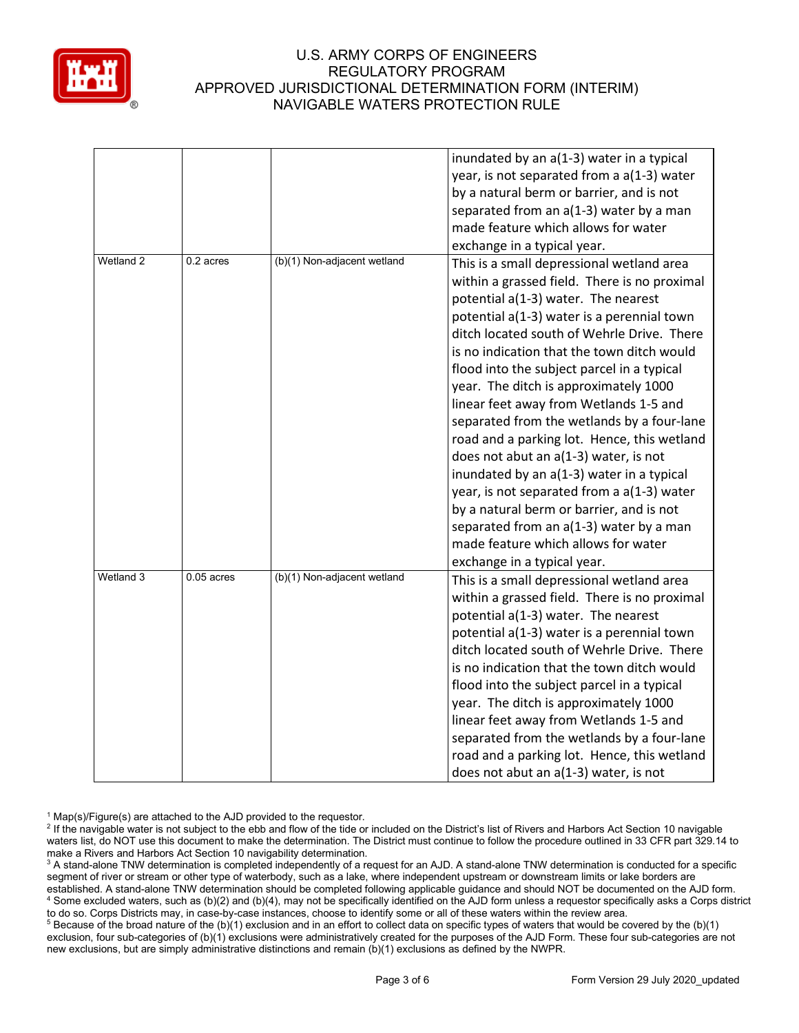

|           |              |                             | inundated by an a(1-3) water in a typical                                                |
|-----------|--------------|-----------------------------|------------------------------------------------------------------------------------------|
|           |              |                             | year, is not separated from a a(1-3) water                                               |
|           |              |                             | by a natural berm or barrier, and is not                                                 |
|           |              |                             | separated from an a(1-3) water by a man                                                  |
|           |              |                             | made feature which allows for water                                                      |
|           |              |                             | exchange in a typical year.                                                              |
| Wetland 2 | 0.2 acres    | (b)(1) Non-adjacent wetland | This is a small depressional wetland area                                                |
|           |              |                             | within a grassed field. There is no proximal                                             |
|           |              |                             | potential a(1-3) water. The nearest                                                      |
|           |              |                             | potential a(1-3) water is a perennial town                                               |
|           |              |                             | ditch located south of Wehrle Drive. There                                               |
|           |              |                             | is no indication that the town ditch would                                               |
|           |              |                             | flood into the subject parcel in a typical                                               |
|           |              |                             | year. The ditch is approximately 1000                                                    |
|           |              |                             | linear feet away from Wetlands 1-5 and                                                   |
|           |              |                             | separated from the wetlands by a four-lane                                               |
|           |              |                             | road and a parking lot. Hence, this wetland                                              |
|           |              |                             | does not abut an a(1-3) water, is not                                                    |
|           |              |                             | inundated by an a(1-3) water in a typical                                                |
|           |              |                             | year, is not separated from a a(1-3) water                                               |
|           |              |                             | by a natural berm or barrier, and is not                                                 |
|           |              |                             | separated from an a(1-3) water by a man                                                  |
|           |              |                             | made feature which allows for water                                                      |
|           |              |                             | exchange in a typical year.                                                              |
| Wetland 3 | $0.05$ acres | (b)(1) Non-adjacent wetland | This is a small depressional wetland area                                                |
|           |              |                             | within a grassed field. There is no proximal                                             |
|           |              |                             | potential a(1-3) water. The nearest                                                      |
|           |              |                             |                                                                                          |
|           |              |                             | potential a(1-3) water is a perennial town<br>ditch located south of Wehrle Drive. There |
|           |              |                             | is no indication that the town ditch would                                               |
|           |              |                             |                                                                                          |
|           |              |                             | flood into the subject parcel in a typical                                               |
|           |              |                             | year. The ditch is approximately 1000                                                    |
|           |              |                             | linear feet away from Wetlands 1-5 and                                                   |
|           |              |                             | separated from the wetlands by a four-lane                                               |
|           |              |                             | road and a parking lot. Hence, this wetland                                              |
|           |              |                             | does not abut an a(1-3) water, is not                                                    |

 $1$  Map(s)/Figure(s) are attached to the AJD provided to the requestor.

<sup>5</sup> Because of the broad nature of the (b)(1) exclusion and in an effort to collect data on specific types of waters that would be covered by the (b)(1) exclusion, four sub-categories of (b)(1) exclusions were administratively created for the purposes of the AJD Form. These four sub-categories are not new exclusions, but are simply administrative distinctions and remain (b)(1) exclusions as defined by the NWPR.

<sup>&</sup>lt;sup>2</sup> If the navigable water is not subject to the ebb and flow of the tide or included on the District's list of Rivers and Harbors Act Section 10 navigable waters list, do NOT use this document to make the determination. The District must continue to follow the procedure outlined in 33 CFR part 329.14 to make a Rivers and Harbors Act Section 10 navigability determination.

<sup>&</sup>lt;sup>3</sup> A stand-alone TNW determination is completed independently of a request for an AJD. A stand-alone TNW determination is conducted for a specific segment of river or stream or other type of waterbody, such as a lake, where independent upstream or downstream limits or lake borders are established. A stand-alone TNW determination should be completed following applicable guidance and should NOT be documented on the AJD form. <sup>4</sup> Some excluded waters, such as (b)(2) and (b)(4), may not be specifically identified on the AJD form unless a requestor specifically asks a Corps district to do so. Corps Districts may, in case-by-case instances, choose to identify some or all of these waters within the review area.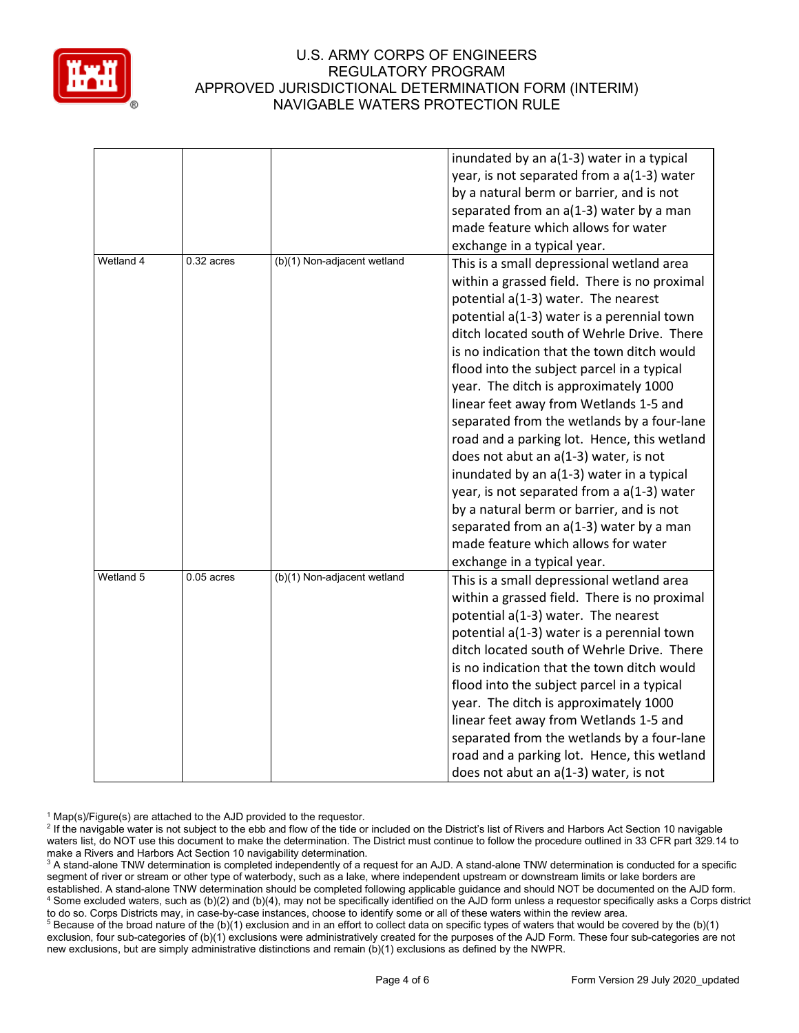

|           |              |                             | inundated by an a(1-3) water in a typical    |
|-----------|--------------|-----------------------------|----------------------------------------------|
|           |              |                             | year, is not separated from a a(1-3) water   |
|           |              |                             | by a natural berm or barrier, and is not     |
|           |              |                             | separated from an a(1-3) water by a man      |
|           |              |                             | made feature which allows for water          |
|           |              |                             | exchange in a typical year.                  |
| Wetland 4 | $0.32$ acres | (b)(1) Non-adjacent wetland | This is a small depressional wetland area    |
|           |              |                             | within a grassed field. There is no proximal |
|           |              |                             | potential a(1-3) water. The nearest          |
|           |              |                             | potential a(1-3) water is a perennial town   |
|           |              |                             | ditch located south of Wehrle Drive. There   |
|           |              |                             | is no indication that the town ditch would   |
|           |              |                             | flood into the subject parcel in a typical   |
|           |              |                             | year. The ditch is approximately 1000        |
|           |              |                             | linear feet away from Wetlands 1-5 and       |
|           |              |                             | separated from the wetlands by a four-lane   |
|           |              |                             | road and a parking lot. Hence, this wetland  |
|           |              |                             | does not abut an a(1-3) water, is not        |
|           |              |                             | inundated by an a(1-3) water in a typical    |
|           |              |                             | year, is not separated from a a(1-3) water   |
|           |              |                             | by a natural berm or barrier, and is not     |
|           |              |                             | separated from an a(1-3) water by a man      |
|           |              |                             | made feature which allows for water          |
|           |              |                             | exchange in a typical year.                  |
| Wetland 5 | $0.05$ acres | (b)(1) Non-adjacent wetland | This is a small depressional wetland area    |
|           |              |                             | within a grassed field. There is no proximal |
|           |              |                             | potential a(1-3) water. The nearest          |
|           |              |                             | potential a(1-3) water is a perennial town   |
|           |              |                             | ditch located south of Wehrle Drive. There   |
|           |              |                             | is no indication that the town ditch would   |
|           |              |                             | flood into the subject parcel in a typical   |
|           |              |                             | year. The ditch is approximately 1000        |
|           |              |                             | linear feet away from Wetlands 1-5 and       |
|           |              |                             | separated from the wetlands by a four-lane   |
|           |              |                             | road and a parking lot. Hence, this wetland  |
|           |              |                             | does not abut an a(1-3) water, is not        |

 $1$  Map(s)/Figure(s) are attached to the AJD provided to the requestor.

<sup>5</sup> Because of the broad nature of the (b)(1) exclusion and in an effort to collect data on specific types of waters that would be covered by the (b)(1) exclusion, four sub-categories of (b)(1) exclusions were administratively created for the purposes of the AJD Form. These four sub-categories are not new exclusions, but are simply administrative distinctions and remain (b)(1) exclusions as defined by the NWPR.

<sup>&</sup>lt;sup>2</sup> If the navigable water is not subject to the ebb and flow of the tide or included on the District's list of Rivers and Harbors Act Section 10 navigable waters list, do NOT use this document to make the determination. The District must continue to follow the procedure outlined in 33 CFR part 329.14 to make a Rivers and Harbors Act Section 10 navigability determination.

<sup>&</sup>lt;sup>3</sup> A stand-alone TNW determination is completed independently of a request for an AJD. A stand-alone TNW determination is conducted for a specific segment of river or stream or other type of waterbody, such as a lake, where independent upstream or downstream limits or lake borders are established. A stand-alone TNW determination should be completed following applicable guidance and should NOT be documented on the AJD form. <sup>4</sup> Some excluded waters, such as (b)(2) and (b)(4), may not be specifically identified on the AJD form unless a requestor specifically asks a Corps district to do so. Corps Districts may, in case-by-case instances, choose to identify some or all of these waters within the review area.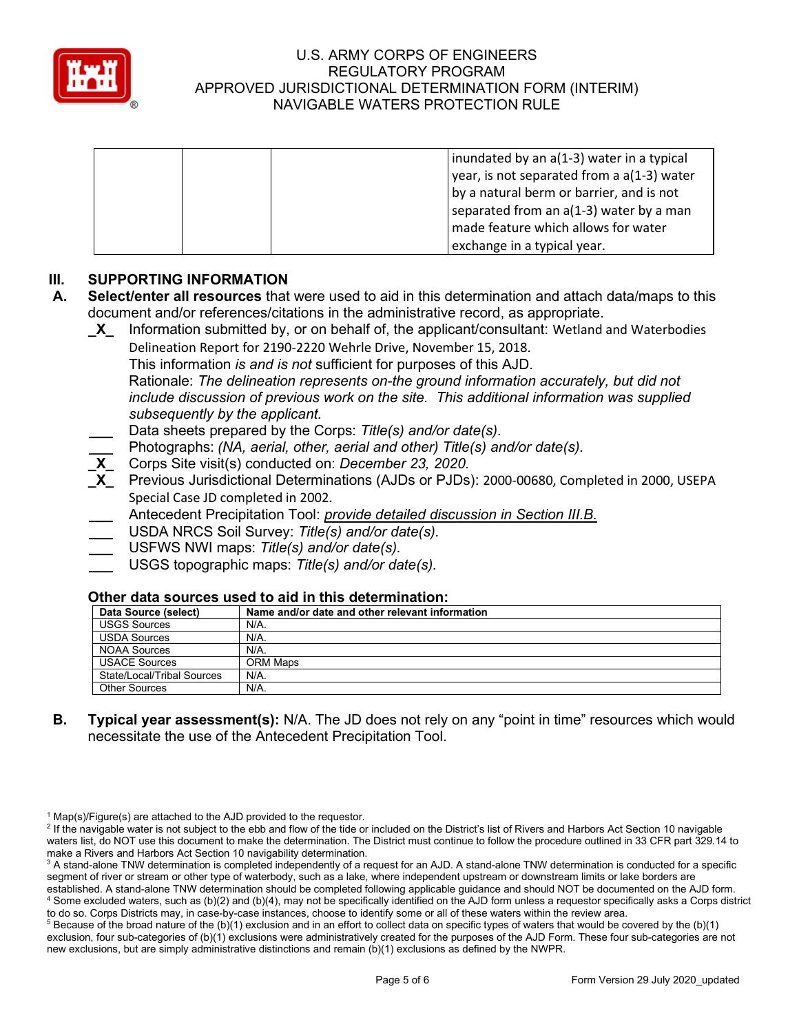

| inundated by an a(1-3) water in a typical    |
|----------------------------------------------|
| year, is not separated from a $a(1-3)$ water |
| by a natural berm or barrier, and is not     |
| separated from an a(1-3) water by a man      |
| made feature which allows for water          |
| exchange in a typical year.                  |

# **III. SUPPORTING INFORMATION**

- **A. Select/enter all resources** that were used to aid in this determination and attach data/maps to this document and/or references/citations in the administrative record, as appropriate.
	- **\_X\_** Information submitted by, or on behalf of, the applicant/consultant: Wetland and Waterbodies Delineation Report for 2190-2220 Wehrle Drive, November 15, 2018*.* This information *is and is not* sufficient for purposes of this AJD. Rationale: *The delineation represents on-the ground information accurately, but did not include discussion of previous work on the site. This additional information was supplied subsequently by the applicant.* **\_\_\_** Data sheets prepared by the Corps: *Title(s) and/or date(s).* **\_\_\_** Photographs: *(NA, aerial, other, aerial and other) Title(s) and/or date(s).* **\_X\_** Corps Site visit(s) conducted on: *December 23, 2020.* **\_X\_** Previous Jurisdictional Determinations (AJDs or PJDs): 2000-00680, Completed in 2000, USEPA Special Case JD completed in 2002*.*
		- **\_\_\_** Antecedent Precipitation Tool: *provide detailed discussion in Section III.B.*
		- **\_\_\_** USDA NRCS Soil Survey: *Title(s) and/or date(s).*
		- **\_\_\_** USFWS NWI maps: *Title(s) and/or date(s).*
		- **\_\_\_** USGS topographic maps: *Title(s) and/or date(s).*

## **Other data sources used to aid in this determination:**

| Data Source (select)       | Name and/or date and other relevant information |
|----------------------------|-------------------------------------------------|
| <b>USGS Sources</b>        | N/A.                                            |
| <b>USDA Sources</b>        | N/A.                                            |
| NOAA Sources               | N/A.                                            |
| <b>USACE Sources</b>       | ORM Maps                                        |
| State/Local/Tribal Sources | N/A.                                            |
| <b>Other Sources</b>       | N/A.                                            |

**B. Typical year assessment(s):** N/A. The JD does not rely on any "point in time" resources which would necessitate the use of the Antecedent Precipitation Tool.

 $1$  Map(s)/Figure(s) are attached to the AJD provided to the requestor.

<sup>&</sup>lt;sup>2</sup> If the navigable water is not subject to the ebb and flow of the tide or included on the District's list of Rivers and Harbors Act Section 10 navigable waters list, do NOT use this document to make the determination. The District must continue to follow the procedure outlined in 33 CFR part 329.14 to make a Rivers and Harbors Act Section 10 navigability determination.

<sup>&</sup>lt;sup>3</sup> A stand-alone TNW determination is completed independently of a request for an AJD. A stand-alone TNW determination is conducted for a specific segment of river or stream or other type of waterbody, such as a lake, where independent upstream or downstream limits or lake borders are established. A stand-alone TNW determination should be completed following applicable guidance and should NOT be documented on the AJD form. <sup>4</sup> Some excluded waters, such as (b)(2) and (b)(4), may not be specifically identified on the AJD form unless a requestor specifically asks a Corps district to do so. Corps Districts may, in case-by-case instances, choose to identify some or all of these waters within the review area.

 $5$  Because of the broad nature of the (b)(1) exclusion and in an effort to collect data on specific types of waters that would be covered by the (b)(1) exclusion, four sub-categories of (b)(1) exclusions were administratively created for the purposes of the AJD Form. These four sub-categories are not new exclusions, but are simply administrative distinctions and remain (b)(1) exclusions as defined by the NWPR.